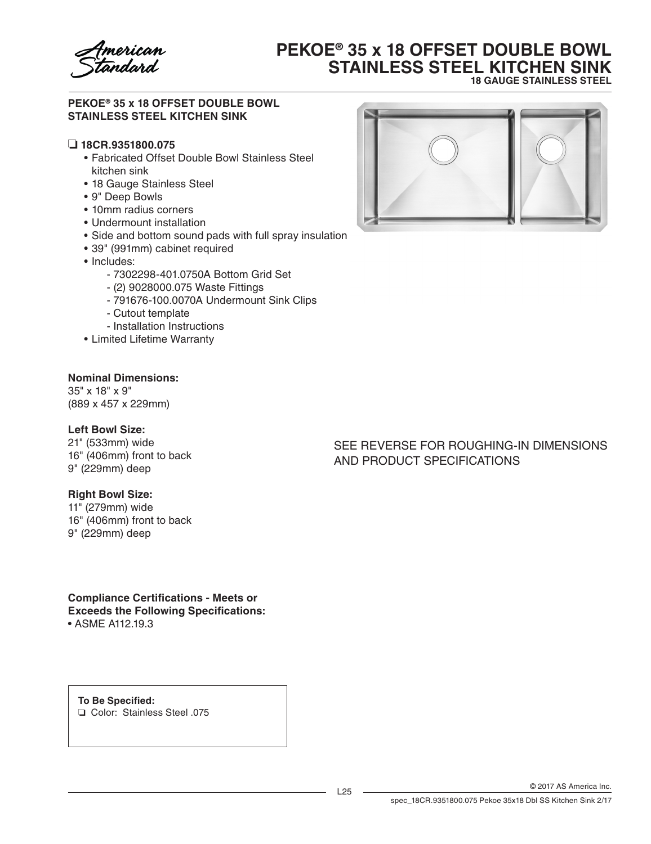

# **PEKOE® 35 x 18 OFFSET DOUBLE BOWL STAINLESS STEEL KITCHEN SINK 18 GAUGE STAINLESS STEEL**

### **PEKOE® 35 x 18 OFFSET DOUBLE BOWL STAINLESS STEEL KITCHEN SINK**

### ❏ **18CR.9351800.075**

- Fabricated Offset Double Bowl Stainless Steel kitchen sink
- 18 Gauge Stainless Steel
- • 9" Deep Bowls
- • 10mm radius corners
- Undermount installation
- Side and bottom sound pads with full spray insulation
- • 39" (991mm) cabinet required
- Includes:
	- 7302298-401.0750A Bottom Grid Set
	- (2) 9028000.075 Waste Fittings
	- 791676-100.0070A Undermount Sink Clips
	- Cutout template
	- Installation Instructions
- • Limited Lifetime Warranty

#### **Nominal Dimensions:**

35" x 18" x 9" (889 x 457 x 229mm)

### **Left Bowl Size:**

21" (533mm) wide 16" (406mm) front to back 9" (229mm) deep

#### **Right Bowl Size:**

11" (279mm) wide 16" (406mm) front to back 9" (229mm) deep

# **Compliance Certifications - Meets or**

**Exceeds the Following Specifications:**

• ASME A112.19.3

**To Be Specified:** ❏ Color: Stainless Steel .075



## SEE REVERSE FOR ROUGHING-IN DIMENSIONS AND PRODUCT SPECIFICATIONS